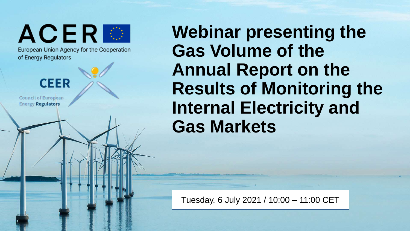ACERE

European Union Agency for the Cooperation of Energy Regulators



**Council of European Energy Regulators** 

**Webinar presenting the Gas Volume of the Annual Report on the Results of Monitoring the Internal Electricity and Gas Markets**

**Insert Sensitivity Marking** Tuesday, 6 July 2021 / 10:00 – 11:00 CET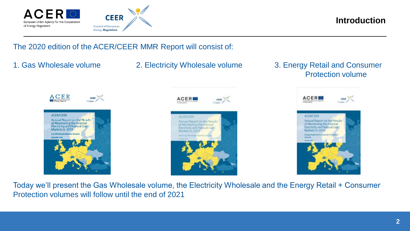

**Introduction**

The 2020 edition of the ACER/CEER MMR Report will consist of:

- 
- 1. Gas Wholesale volume 2. Electricity Wholesale volume 3. Energy Retail and Consumer Protection volume







Today we'll present the Gas Wholesale volume, the Electricity Wholesale and the Energy Retail + Consumer Protection volumes will follow until the end of 2021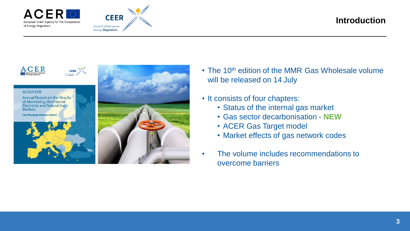



## **Introduction**



- The 10<sup>th</sup> edition of the MMR Gas Wholesale volume will be released on 14 July
- It consists of four chapters:
	- Status of the internal gas market
	- Gas sector decarbonisation **NEW**
	- ACER Gas Target model
	- Market effects of gas network codes
- The volume includes recommendations to overcome barriers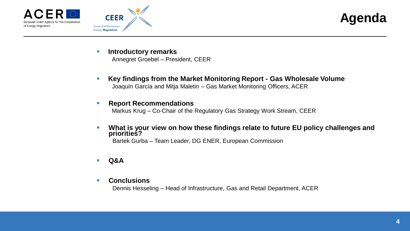





- **Introductory remarks** Annegret Groebel – President, CEER
- **Key findings from the Market Monitoring Report - Gas Wholesale Volume**  Joaquín García and Mitja Maletin – Gas Market Monitoring Officers, ACER

### **Report Recommendations**

Markus Krug – Co-Chair of the Regulatory Gas Strategy Work Stream, CEER

 **What is your view on how these findings relate to future EU policy challenges and priorities?**

Bartek Gurba – Team Leader, DG ENER, European Commission

- **Q&A**
- **Conclusions**

Dennis Hesseling – Head of Infrastructure, Gas and Retail Department, ACER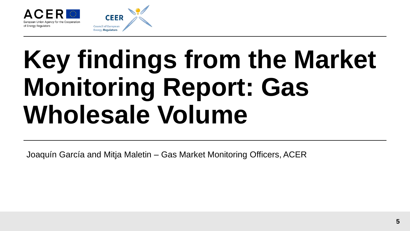

**CEER** 

## **Key findings from the Market Monitoring Report: Gas Wholesale Volume**

Joaquín García and Mitja Maletin – Gas Market Monitoring Officers, ACER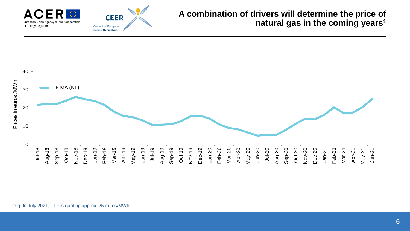

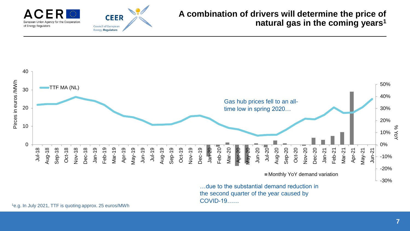

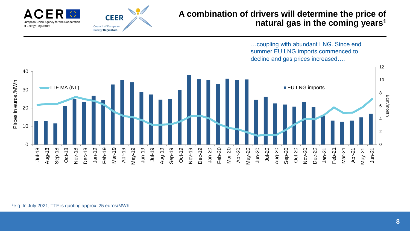

…coupling with abundant LNG. Since end summer EU LNG imports commenced to decline and gas prices increased….

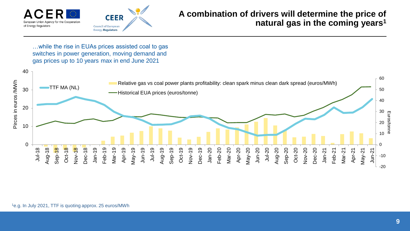

## **A combination of drivers will determine the price of natural gas in the coming years<sup>1</sup>**

…while the rise in EUAs prices assisted coal to gas switches in power generation, moving demand and gas prices up to 10 years max in end June 2021

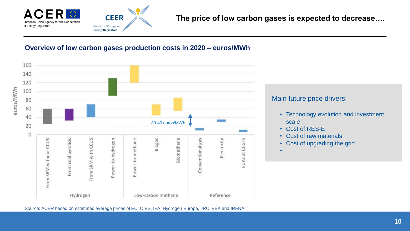

### **Overview of low carbon gases production costs in 2020 – euros/MWh**



Source: ACER based on estimated average prices of EC, OIES, IEA, Hydrogen Europe, JRC, EBA and IRENA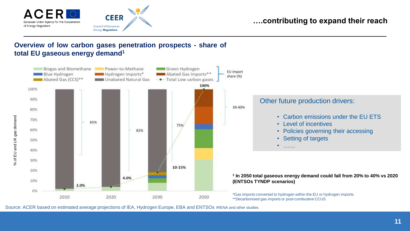

## **….contributing to expand their reach**

## **Overview of low carbon gases penetration prospects - share of total EU gaseous energy demand<sup>1</sup>**



Source: ACER based on estimated average projections of IEA, Hydrogen Europe, EBA and ENTSOs IRENA and other studies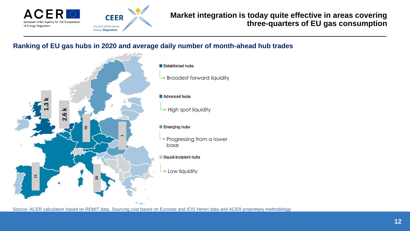

## **Market integration is today quite effective in areas covering three-quarters of EU gas consumption**

## **Ranking of EU gas hubs in 2020 and average daily number of month-ahead hub trades**



- **Established hubs**
- **Broadest forward liquidity**

#### Advanced hubs

 $\rightarrow$  High spot liquidity

#### Emerging hubs

- Progressing from a lower base
- **Iliquid-incipient hubs**
- Low liquidity

Source: ACER calculation based on REMIT data. Sourcing cost based on Eurostat and ICIS Heren data and ACER proprietary methodology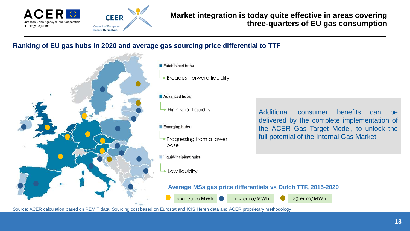

## **Market integration is today quite effective in areas covering three-quarters of EU gas consumption**

## **Ranking of EU gas hubs in 2020 and average gas sourcing price differential to TTF**



#### Established hubs

**Broadest forward liquidity** 

#### Advanced hubs

 $\rightarrow$  High spot liquidity

#### Emerging hubs

**Progressing from a lower** base

Iliquid-incipient hubs

Low liquidity

Additional consumer benefits can be delivered by the complete implementation of the ACER Gas Target Model, to unlock the full potential of the Internal Gas Market

### **Average MSs gas price differentials vs Dutch TTF, 2015-2020**

 $\le$  =1 euro/MWh  $\qquad$  1-3 euro/MWh  $\ge$  3 euro/MWh

Source: ACER calculation based on REMIT data. Sourcing cost based on Eurostat and ICIS Heren data and ACER proprietary methodology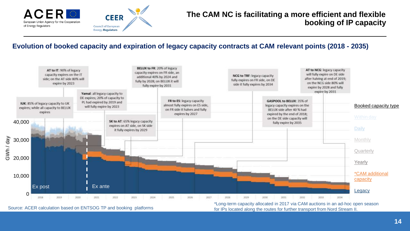

## Evolution of booked capacity and expiration of legacy capacity contracts at CAM relevant points (2018 - 2035)



Source: ACER calculation based on ENTSOG TP and booking platforms for the stream of the routes for further transport from Nord Stream II.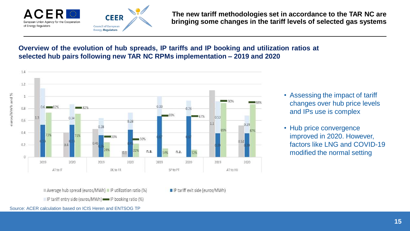

**The new tariff methodologies set in accordance to the TAR NC are bringing some changes in the tariff levels of selected gas systems** 

## **Overview of the evolution of hub spreads, IP tariffs and IP booking and utilization ratios at selected hub pairs following new TAR NC RPMs implementation – 2019 and 2020**



- Assessing the impact of tariff changes over hub price levels and IPs use is complex
- Hub price convergence improved in 2020. However, factors like LNG and COVID-19 modified the normal setting

Average hub spread (euros/MWh) I IP utilization ratio (%) IP tariff entry side (euros/MWh) = IP booking ratio (%)

IP tariff exit side (euros/MWh)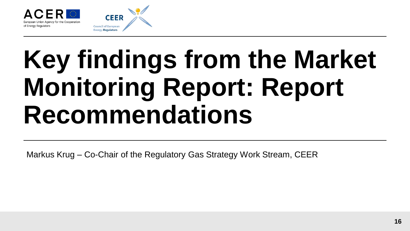

## **Key findings from the Market Monitoring Report: Report Recommendations**

Markus Krug – Co-Chair of the Regulatory Gas Strategy Work Stream, CEER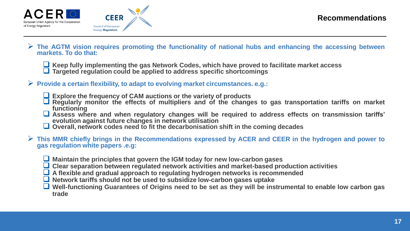



- **The AGTM vision requires promoting the functionality of national hubs and enhancing the accessing between markets. To do that:**
	- **Keep fully implementing the gas Network Codes, which have proved to facilitate market access**
	- **Targeted regulation could be applied to address specific shortcomings**
- **Provide a certain flexibility, to adapt to evolving market circumstances. e.g.:**
	- **Explore the frequency of CAM auctions or the variety of products**
	- **Regularly monitor the effects of multipliers and of the changes to gas transportation tariffs on market functioning**
	- **Assess where and when regulatory changes will be required to address effects on transmission tariffs' evolution against future changes in network utilisation**
	- **Overall, network codes need to fit the decarbonisation shift in the coming decades**
- $\triangleright$  This MMR chiefly brings in the Recommendations expressed by ACER and CEER in the hydrogen and power to **gas regulation white papers .e.g:**
	- **Maintain the principles that govern the IGM today for new low-carbon gases**
	- **Clear separation between regulated network activities and market-based production activities**
	- **A flexible and gradual approach to regulating hydrogen networks is recommended**
	- **Network tariffs should not be used to subsidize low-carbon gases uptake**
	- $\Box$  Well-functioning Guarantees of Origins need to be set as they will be instrumental to enable low carbon gas **trade**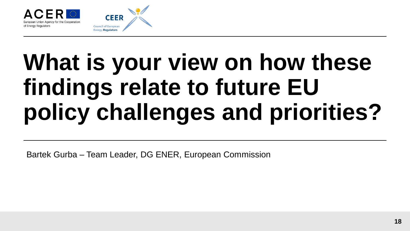

**CEER** 

## **What is your view on how these findings relate to future EU policy challenges and priorities?**

Bartek Gurba – Team Leader, DG ENER, European Commission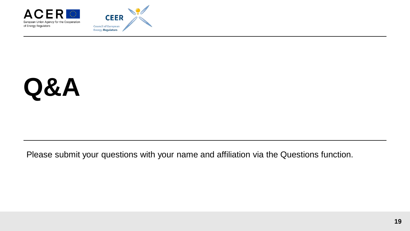



## **Q&A**

Please submit your questions with your name and affiliation via the Questions function.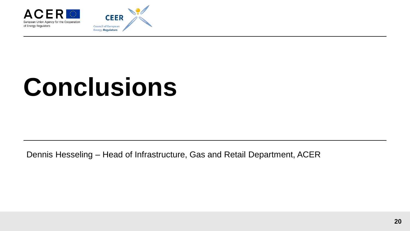



## **Conclusions**

Dennis Hesseling – Head of Infrastructure, Gas and Retail Department, ACER